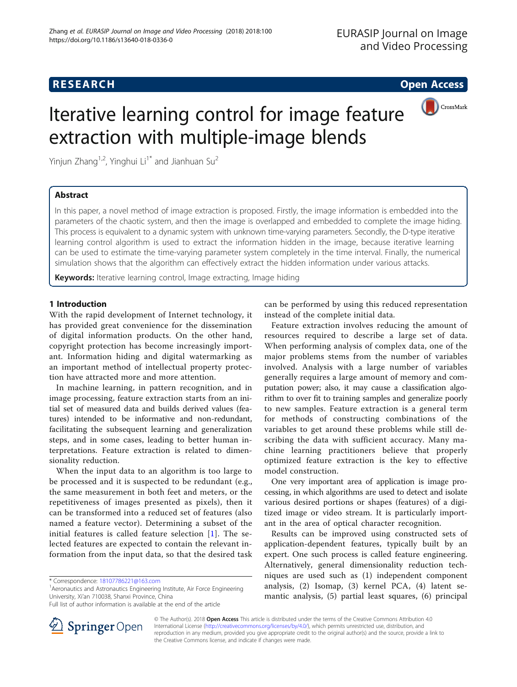# **RESEARCH CHEAR CHEAR CHEAR CHEAR CHEAR CHEAR CHEAR CHEAR CHEAR CHEAR CHEAR CHEAR CHEAR CHEAR CHEAR CHEAR CHEAR**



# Iterative learning control for image feature extraction with multiple-image blends

Yinjun Zhang<sup>1,2</sup>, Yinghui Li<sup>1\*</sup> and Jianhuan Su<sup>2</sup>

# Abstract

In this paper, a novel method of image extraction is proposed. Firstly, the image information is embedded into the parameters of the chaotic system, and then the image is overlapped and embedded to complete the image hiding. This process is equivalent to a dynamic system with unknown time-varying parameters. Secondly, the D-type iterative learning control algorithm is used to extract the information hidden in the image, because iterative learning can be used to estimate the time-varying parameter system completely in the time interval. Finally, the numerical simulation shows that the algorithm can effectively extract the hidden information under various attacks.

Keywords: Iterative learning control, Image extracting, Image hiding

# 1 Introduction

With the rapid development of Internet technology, it has provided great convenience for the dissemination of digital information products. On the other hand, copyright protection has become increasingly important. Information hiding and digital watermarking as an important method of intellectual property protection have attracted more and more attention.

In machine learning, in pattern recognition, and in image processing, feature extraction starts from an initial set of measured data and builds derived values (features) intended to be informative and non-redundant, facilitating the subsequent learning and generalization steps, and in some cases, leading to better human interpretations. Feature extraction is related to dimensionality reduction.

When the input data to an algorithm is too large to be processed and it is suspected to be redundant (e.g., the same measurement in both feet and meters, or the repetitiveness of images presented as pixels), then it can be transformed into a reduced set of features (also named a feature vector). Determining a subset of the initial features is called feature selection [\[1](#page-10-0)]. The selected features are expected to contain the relevant information from the input data, so that the desired task

\* Correspondence: [18107786221@163.com](mailto:18107786221@163.com) <sup>1</sup>

<sup>1</sup> Aeronautics and Astronautics Engineering Institute, Air Force Engineering University, Xi'an 710038, Shanxi Province, China

can be performed by using this reduced representation instead of the complete initial data.

Feature extraction involves reducing the amount of resources required to describe a large set of data. When performing analysis of complex data, one of the major problems stems from the number of variables involved. Analysis with a large number of variables generally requires a large amount of memory and computation power; also, it may cause a classification algorithm to over fit to training samples and generalize poorly to new samples. Feature extraction is a general term for methods of constructing combinations of the variables to get around these problems while still describing the data with sufficient accuracy. Many machine learning practitioners believe that properly optimized feature extraction is the key to effective model construction.

One very important area of application is image processing, in which algorithms are used to detect and isolate various desired portions or shapes (features) of a digitized image or video stream. It is particularly important in the area of optical character recognition.

Results can be improved using constructed sets of application-dependent features, typically built by an expert. One such process is called feature engineering. Alternatively, general dimensionality reduction techniques are used such as (1) independent component analysis, (2) Isomap, (3) kernel PCA, (4) latent semantic analysis, (5) partial least squares, (6) principal



© The Author(s). 2018 Open Access This article is distributed under the terms of the Creative Commons Attribution 4.0 International License ([http://creativecommons.org/licenses/by/4.0/\)](http://creativecommons.org/licenses/by/4.0/), which permits unrestricted use, distribution, and reproduction in any medium, provided you give appropriate credit to the original author(s) and the source, provide a link to the Creative Commons license, and indicate if changes were made.

Full list of author information is available at the end of the article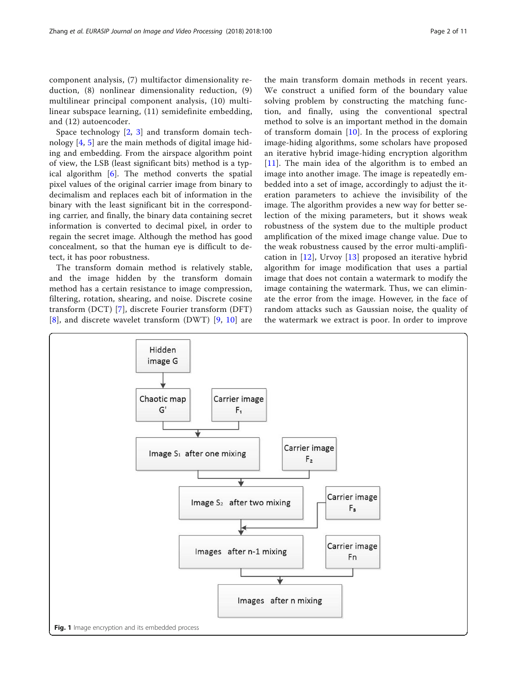<span id="page-1-0"></span>component analysis, (7) multifactor dimensionality reduction, (8) nonlinear dimensionality reduction, (9) multilinear principal component analysis, (10) multilinear subspace learning, (11) semidefinite embedding, and (12) autoencoder.

Space technology  $[2, 3]$  $[2, 3]$  $[2, 3]$  $[2, 3]$  and transform domain technology [[4,](#page-10-0) [5\]](#page-10-0) are the main methods of digital image hiding and embedding. From the airspace algorithm point of view, the LSB (least significant bits) method is a typical algorithm [[6\]](#page-10-0). The method converts the spatial pixel values of the original carrier image from binary to decimalism and replaces each bit of information in the binary with the least significant bit in the corresponding carrier, and finally, the binary data containing secret information is converted to decimal pixel, in order to regain the secret image. Although the method has good concealment, so that the human eye is difficult to detect, it has poor robustness.

The transform domain method is relatively stable, and the image hidden by the transform domain method has a certain resistance to image compression, filtering, rotation, shearing, and noise. Discrete cosine transform (DCT) [[7\]](#page-10-0), discrete Fourier transform (DFT) [[8](#page-10-0)], and discrete wavelet transform (DWT) [\[9](#page-10-0), [10\]](#page-10-0) are

the main transform domain methods in recent years. We construct a unified form of the boundary value solving problem by constructing the matching function, and finally, using the conventional spectral method to solve is an important method in the domain of transform domain [\[10\]](#page-10-0). In the process of exploring image-hiding algorithms, some scholars have proposed an iterative hybrid image-hiding encryption algorithm [[11](#page-10-0)]. The main idea of the algorithm is to embed an image into another image. The image is repeatedly embedded into a set of image, accordingly to adjust the iteration parameters to achieve the invisibility of the image. The algorithm provides a new way for better selection of the mixing parameters, but it shows weak robustness of the system due to the multiple product amplification of the mixed image change value. Due to the weak robustness caused by the error multi-amplification in [\[12](#page-10-0)], Urvoy [[13](#page-10-0)] proposed an iterative hybrid algorithm for image modification that uses a partial image that does not contain a watermark to modify the image containing the watermark. Thus, we can eliminate the error from the image. However, in the face of random attacks such as Gaussian noise, the quality of the watermark we extract is poor. In order to improve

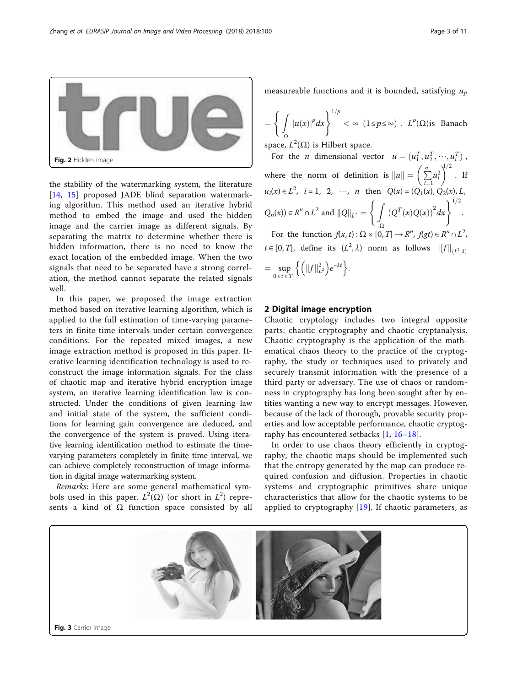<span id="page-2-0"></span>Zhang et al. EURASIP Journal on Image and Video Processing (2018) 2018:100 Page 3 of 11



the stability of the watermarking system, the literature [[14,](#page-10-0) [15](#page-10-0)] proposed JADE blind separation watermarking algorithm. This method used an iterative hybrid method to embed the image and used the hidden image and the carrier image as different signals. By separating the matrix to determine whether there is hidden information, there is no need to know the exact location of the embedded image. When the two signals that need to be separated have a strong correlation, the method cannot separate the related signals well.

In this paper, we proposed the image extraction method based on iterative learning algorithm, which is applied to the full estimation of time-varying parameters in finite time intervals under certain convergence conditions. For the repeated mixed images, a new image extraction method is proposed in this paper. Iterative learning identification technology is used to reconstruct the image information signals. For the class of chaotic map and iterative hybrid encryption image system, an iterative learning identification law is constructed. Under the conditions of given learning law and initial state of the system, the sufficient conditions for learning gain convergence are deduced, and the convergence of the system is proved. Using iterative learning identification method to estimate the timevarying parameters completely in finite time interval, we can achieve completely reconstruction of image information in digital image watermarking system.

Remarks: Here are some general mathematical symbols used in this paper.  $L^2(\Omega)$  (or short in  $L^2$ ) represents a kind of  $\Omega$  function space consisted by all measureable functions and it is bounded, satisfying  $u_n$ 

$$
= \left\{ \int_{\Omega} |u(x)|^p dx \right\}^{1/p} < \infty \ (1 \le p \le \infty) \ . \ L^p(\Omega) \text{ is Banach}
$$

space,  $L^2(\Omega)$  is Hilbert space.

For the *n* dimensional vector  $u = (u_1^T, u_2^T, \dots, u_i^T)$ , where the norm of definition is  $||u|| = \left(\sum_{i=1}^n u_i\right)$  $i=1$  $\sum_{i=1}^{n} u_i^2$  $\int_{1/2}^{1/2}$ . If  $u_i(x) \in L^2$ ,  $i = 1, 2, \dots, n$  then  $Q(x) = (Q_1(x), Q_2(x), L,$  $Q_n(x) \in R^n \cap L^2$  and  $||Q||_{L^2} = \left\{ \int (Q^T(x)Q(x))^2 dx \right\}^{1/2}.$ Ω For the function  $f(x, t)$ :  $\Omega \times [0, T] \rightarrow R^n$ ,  $f(gt) \in R^n \cap L^2$ ,

 $t \in [0, T]$ , define its  $(L^2, \lambda)$  norm as follows  $||f||_{(L^2, \lambda)}$  $=\sup_{0\leq t\leq T}$  $\left\{ \left( \left\Vert f\right\Vert_{L^{2}}^{2}\right) e^{-\lambda t}\right\}$ .

# 2 Digital image encryption

Chaotic cryptology includes two integral opposite parts: chaotic cryptography and chaotic cryptanalysis. Chaotic cryptography is the application of the mathematical chaos theory to the practice of the cryptography, the study or techniques used to privately and securely transmit information with the presence of a third party or adversary. The use of chaos or randomness in cryptography has long been sought after by entities wanting a new way to encrypt messages. However, because of the lack of thorough, provable security properties and low acceptable performance, chaotic cryptography has encountered setbacks [[1,](#page-10-0) [16](#page-10-0)–[18\]](#page-10-0).

In order to use chaos theory efficiently in cryptography, the chaotic maps should be implemented such that the entropy generated by the map can produce required confusion and diffusion. Properties in chaotic systems and cryptographic primitives share unique characteristics that allow for the chaotic systems to be applied to cryptography  $[19]$  $[19]$ . If chaotic parameters, as

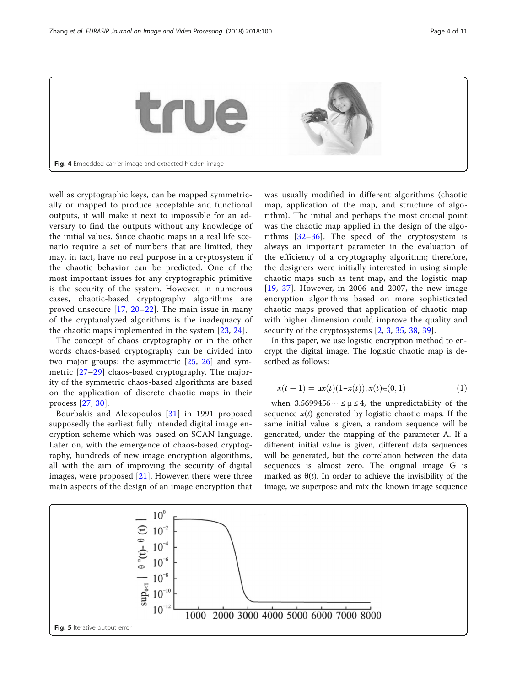<span id="page-3-0"></span>

well as cryptographic keys, can be mapped symmetrically or mapped to produce acceptable and functional outputs, it will make it next to impossible for an adversary to find the outputs without any knowledge of the initial values. Since chaotic maps in a real life scenario require a set of numbers that are limited, they may, in fact, have no real purpose in a cryptosystem if the chaotic behavior can be predicted. One of the most important issues for any cryptographic primitive is the security of the system. However, in numerous cases, chaotic-based cryptography algorithms are proved unsecure [[17,](#page-10-0) [20](#page-10-0)–[22](#page-10-0)]. The main issue in many of the cryptanalyzed algorithms is the inadequacy of the chaotic maps implemented in the system [[23,](#page-10-0) [24](#page-10-0)].

The concept of chaos cryptography or in the other words chaos-based cryptography can be divided into two major groups: the asymmetric [[25,](#page-10-0) [26\]](#page-10-0) and symmetric [[27](#page-10-0)–[29\]](#page-10-0) chaos-based cryptography. The majority of the symmetric chaos-based algorithms are based on the application of discrete chaotic maps in their process [[27,](#page-10-0) [30](#page-10-0)].

Bourbakis and Alexopoulos [[31](#page-10-0)] in 1991 proposed supposedly the earliest fully intended digital image encryption scheme which was based on SCAN language. Later on, with the emergence of chaos-based cryptography, hundreds of new image encryption algorithms, all with the aim of improving the security of digital images, were proposed [[21\]](#page-10-0). However, there were three main aspects of the design of an image encryption that was usually modified in different algorithms (chaotic map, application of the map, and structure of algorithm). The initial and perhaps the most crucial point was the chaotic map applied in the design of the algorithms [\[32](#page-10-0)–[36\]](#page-10-0). The speed of the cryptosystem is always an important parameter in the evaluation of the efficiency of a cryptography algorithm; therefore, the designers were initially interested in using simple chaotic maps such as tent map, and the logistic map [[19](#page-10-0), [37](#page-10-0)]. However, in 2006 and 2007, the new image encryption algorithms based on more sophisticated chaotic maps proved that application of chaotic map with higher dimension could improve the quality and security of the cryptosystems [[2](#page-10-0), [3](#page-10-0), [35,](#page-10-0) [38](#page-10-0), [39\]](#page-10-0).

In this paper, we use logistic encryption method to encrypt the digital image. The logistic chaotic map is described as follows:

$$
x(t+1) = \mu x(t)(1-x(t)), x(t) \in (0,1)
$$
 (1)

when  $3.5699456\dots \leq \mu \leq 4$ , the unpredictability of the sequence  $x(t)$  generated by logistic chaotic maps. If the same initial value is given, a random sequence will be generated, under the mapping of the parameter A. If a different initial value is given, different data sequences will be generated, but the correlation between the data sequences is almost zero. The original image G is marked as  $\theta(t)$ . In order to achieve the invisibility of the image, we superpose and mix the known image sequence

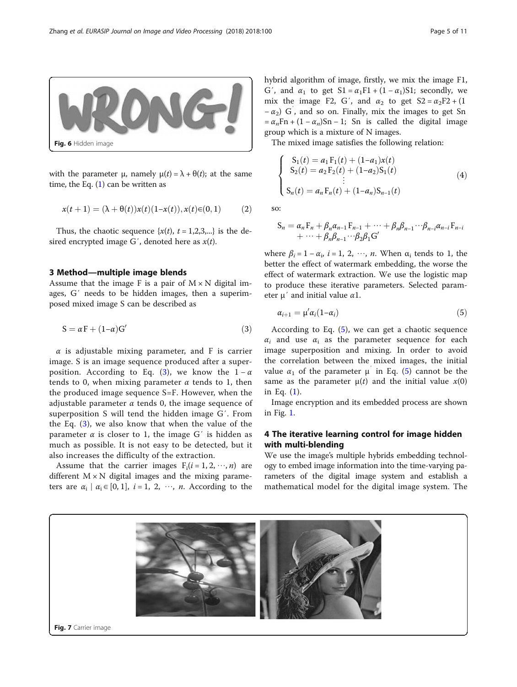<span id="page-4-0"></span>

with the parameter  $\mu$ , namely  $\mu(t) = \lambda + \theta(t)$ ; at the same time, the Eq.  $(1)$  can be written as

$$
x(t+1) = (\lambda + \theta(t))x(t)(1-x(t)), x(t) \in (0,1)
$$
 (2)

Thus, the chaotic sequence  $\{x(t), t = 1,2,3,...\}$  is the desired encrypted image G', denoted here as  $x(t)$ .

#### 3 Method—multiple image blends

Assume that the image F is a pair of  $M \times N$  digital images, G′ needs to be hidden images, then a superimposed mixed image S can be described as

$$
S = \alpha F + (1 - \alpha)G'
$$
 (3)

 $\alpha$  is adjustable mixing parameter, and F is carrier image. S is an image sequence produced after a superposition. According to Eq. (3), we know the  $1 - \alpha$ tends to 0, when mixing parameter  $\alpha$  tends to 1, then the produced image sequence S=F. However, when the adjustable parameter  $\alpha$  tends 0, the image sequence of superposition S will tend the hidden image G′. From the Eq. (3), we also know that when the value of the parameter  $\alpha$  is closer to 1, the image G' is hidden as much as possible. It is not easy to be detected, but it also increases the difficulty of the extraction.

Assume that the carrier images  $F_i(i = 1, 2, \dots, n)$  are different  $M \times N$  digital images and the mixing parameters are  $\alpha_i | \alpha_i \in [0, 1]$ ,  $i = 1, 2, \dots, n$ . According to the hybrid algorithm of image, firstly, we mix the image F1, G', and  $\alpha_1$  to get  $S1 = \alpha_1 F1 + (1 - \alpha_1) S1$ ; secondly, we mix the image F2, G', and  $\alpha_2$  to get  $S2 = \alpha_2F2 + (1$  $-\alpha_2$ ) G<sup>'</sup>, and so on. Finally, mix the images to get Sn  $= \alpha_n Fn + (1 - \alpha_n)Sn - 1$ ; Sn is called the digital image group which is a mixture of N images.

The mixed image satisfies the following relation:

$$
\begin{cases}\nS_1(t) = a_1 F_1(t) + (1 - a_1)x(t) \\
S_2(t) = a_2 F_2(t) + (1 - a_2)S_1(t) \\
\vdots \\
S_n(t) = a_n F_n(t) + (1 - a_n)S_{n-1}(t)\n\end{cases} (4)
$$

so:

$$
S_n = \alpha_n F_n + \beta_n \alpha_{n-1} F_{n-1} + \cdots + \beta_n \beta_{n-1} \cdots \beta_{n-i} \alpha_{n-i} F_{n-i} + \cdots + \beta_n \beta_{n-1} \cdots \beta_2 \beta_1 G'
$$

where  $\beta_i = 1 - \alpha_i$ ,  $i = 1, 2, \dots, n$ . When  $\alpha_i$  tends to 1, the better the effect of watermark embedding, the worse the effect of watermark extraction. We use the logistic map to produce these iterative parameters. Selected parameter  $\mu'$  and initial value  $\alpha$ 1.

$$
\alpha_{i+1} = \mu' \alpha_i (1 - \alpha_i) \tag{5}
$$

According to Eq.  $(5)$ , we can get a chaotic sequence  $\alpha_i$  and use  $\alpha_i$  as the parameter sequence for each image superposition and mixing. In order to avoid the correlation between the mixed images, the initial value  $\alpha_1$  of the parameter  $\mu$  in Eq. (5) cannot be the same as the parameter  $\mu(t)$  and the initial value  $x(0)$ in Eq. [\(1](#page-3-0)).

Image encryption and its embedded process are shown in Fig. [1](#page-1-0).

# 4 The iterative learning control for image hidden with multi-blending

We use the image's multiple hybrids embedding technology to embed image information into the time-varying parameters of the digital image system and establish a mathematical model for the digital image system. The

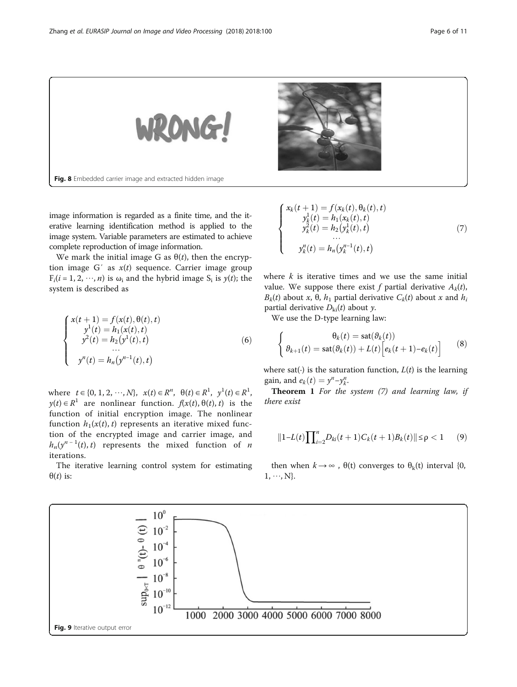<span id="page-5-0"></span>

image information is regarded as a finite time, and the iterative learning identification method is applied to the image system. Variable parameters are estimated to achieve complete reproduction of image information.

We mark the initial image G as  $\theta(t)$ , then the encryption image G' as  $x(t)$  sequence. Carrier image group  $F_i(i = 1, 2, \dots, n)$  is  $\omega_i$  and the hybrid image  $S_i$  is  $y(t)$ ; the system is described as

$$
\begin{cases}\n x(t+1) = f(x(t), \theta(t), t) \\
 y^{1}(t) = h_{1}(x(t), t) \\
 y^{2}(t) = h_{2}(y^{1}(t), t) \\
 \dots \\
 y^{n}(t) = h_{n}(y^{n-1}(t), t)\n\end{cases}
$$
\n(6)

where  $t \in \{0, 1, 2, \dots, N\}$ ,  $x(t) \in R^n$ ,  $\theta(t) \in R^1$ ,  $y^1(t) \in R^1$ ,  $y(t) \in R<sup>1</sup>$  are nonlinear function.  $f(x(t), \theta(t), t)$  is the function of initial encryption image. The nonlinear function  $h_1(x(t), t)$  represents an iterative mixed function of the encrypted image and carrier image, and  $h_n(y^{n-1}(t), t)$  represents the mixed function of *n* iterations.

The iterative learning control system for estimating  $\theta(t)$  is:

$$
\begin{cases}\n x_k(t+1) = f(x_k(t), \theta_k(t), t) \\
 y_k^1(t) = h_1(x_k(t), t) \\
 y_k^2(t) = h_2(y_k^1(t), t) \\
 \dots \\
 y_k^n(t) = h_n(y_k^{n-1}(t), t)\n\end{cases} (7)
$$

where  $k$  is iterative times and we use the same initial value. We suppose there exist f partial derivative  $A_k(t)$ ,  $B_k(t)$  about x,  $\theta$ ,  $h_1$  partial derivative  $C_k(t)$  about x and  $h_i$ partial derivative  $D_{ki}(t)$  about y.

We use the D-type learning law:

$$
\begin{cases}\n\theta_k(t) = \operatorname{sat}(\theta_k(t)) \\
\theta_{k+1}(t) = \operatorname{sat}(\theta_k(t)) + L(t) \Big[ e_k(t+1) - e_k(t) \Big]\n\end{cases}
$$
\n(8)

where sat(⋅) is the saturation function,  $L(t)$  is the learning gain, and  $e_k(t) = y^n - y_k^n$ .<br>Theorem 1 For the

**Theorem 1** For the system  $(7)$  and learning law, if there exist

$$
||1 - L(t)\prod_{i=2}^{n}D_{ki}(t+1)C_k(t+1)B_k(t)|| \leq \rho < 1
$$
 (9)

then when  $k \rightarrow \infty$ ,  $\theta(t)$  converges to  $\theta_k(t)$  interval {0,  $1, \dots, N$ .

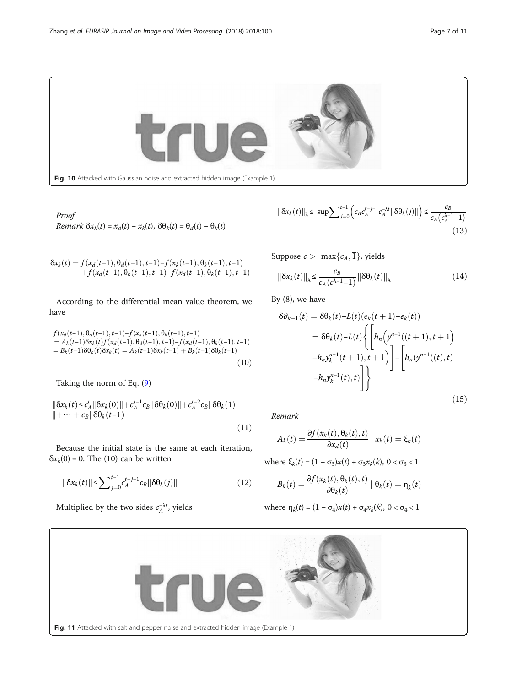<span id="page-6-0"></span>

Proof Remark  $\delta x_k(t) = x_d(t) - x_k(t)$ ,  $\delta \theta_k(t) = \theta_d(t) - \theta_k(t)$ 

$$
\delta x_k(t) = f(x_d(t-1), \theta_d(t-1), t-1) - f(x_k(t-1), \theta_k(t-1), t-1) + f(x_d(t-1), \theta_k(t-1), t-1) - f(x_d(t-1), \theta_k(t-1), t-1)
$$

According to the differential mean value theorem, we have

$$
f(x_d(t-1), \theta_d(t-1), t-1) - f(x_k(t-1), \theta_k(t-1), t-1)
$$
  
=  $A_k(t-1) \delta x_k(t) f(x_d(t-1), \theta_d(t-1), t-1) - f(x_d(t-1), \theta_k(t-1), t-1)$   
=  $B_k(t-1) \delta \theta_k(t) \delta x_k(t) = A_k(t-1) \delta x_k(t-1) + B_k(t-1) \delta \theta_k(t-1)$  (10)

Taking the norm of Eq. [\(9](#page-5-0))

$$
\|\delta x_k(t) \le c_A^t \|\delta x_k(0)\| + c_A^{t-1} c_B \|\delta \theta_k(0)\| + c_A^{t-2} c_B \|\delta \theta_k(1) + \cdots + c_B \|\delta \theta_k(t-1)\| + \cdots
$$
\n(11)

Because the initial state is the same at each iteration,  $\delta x_k(0) = 0$ . The (10) can be written

$$
\|\delta x_k(t)\| \le \sum_{j=0}^{t-1} c_A^{t-j-1} c_B \|\delta \theta_k(j)\| \tag{12}
$$

Multiplied by the two sides  $c_A^{-\lambda t}$ , yields

$$
\|\delta x_k(t)\|_{\lambda} \le \sup \sum_{j=0}^{t-1} \left( c_B c_A^{t-j-1} c_A^{-\lambda t} \|\delta \theta_k(j)\| \right) \le \frac{c_B}{c_A \left( c_A^{\lambda-1} - 1 \right)} \tag{13}
$$

Suppose  $c > \max\{c_A, \overline{1}\}\$ , yields

$$
\|\delta x_k(t)\|_{\lambda} \le \frac{c_B}{c_A(c^{\lambda-1}-1)} \|\delta \theta_k(t)\|_{\lambda}
$$
 (14)

By (8), we have

$$
\delta \theta_{k+1}(t) = \delta \theta_k(t) - L(t)(e_k(t+1) - e_k(t))
$$
  
=  $\delta \theta_k(t) - L(t) \left\{ \left[ h_n \left( y^{n-1}((t+1), t+1) \right) - h_n y_k^{n-1}(t+1), t+1 \right) \right] - \left[ h_n \left( y^{n-1}((t), t) \right) - h_n y_k^{n-1}(t), t \right] \right\}$  (15)

Remark

$$
A_k(t) = \frac{\partial f(x_k(t), \theta_k(t), t)}{\partial x_d(t)} | x_k(t) = \xi_k(t)
$$

where  $\xi_k(t) = (1 - \sigma_3)x(t) + \sigma_3x_k(k)$ ,  $0 < \sigma_3 < 1$ 

$$
B_k(t) = \frac{\partial f(x_k(t), \theta_k(t), t)}{\partial \theta_k(t)} | \theta_k(t) = \eta_k(t)
$$

where 
$$
\eta_k(t) = (1 - \sigma_4)x(t) + \sigma_4 x_k(k)
$$
,  $0 < \sigma_4 < 1$ 

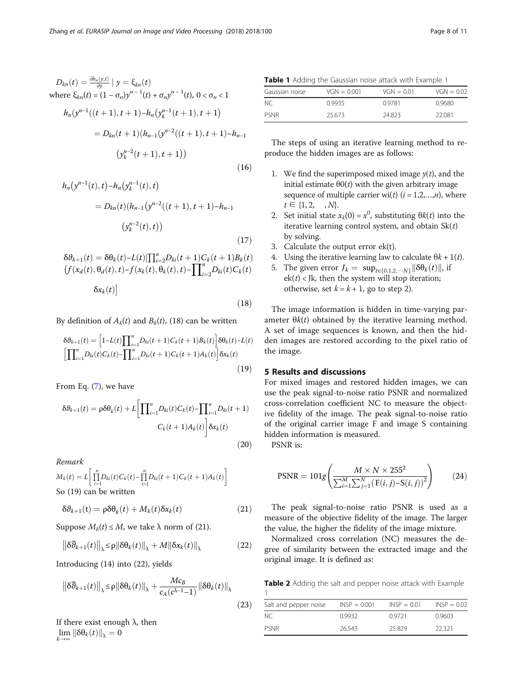<span id="page-7-0"></span>
$$
D_{kn}(t) = \frac{\partial h_n(y,t)}{\partial y} | y = \xi_{kn}(t)
$$
  
where  $\xi_{kn}(t) = (1 - \sigma_n) y^{n-1}(t) + \sigma_n y^{n-1}(t), 0 < \sigma_n < 1$   

$$
h_n(y^{n-1}((t+1), t+1) - h_n(y^{n-1}_k(t+1), t+1))
$$

$$
= D_{kn}(t+1)(h_{n-1}(y^{n-2}((t+1), t+1) - h_{n-1})
$$

$$
(y^{n-2}_k(t+1), t+1))
$$
(16)

$$
h_n(y^{n-1}(t),t) - h_n(y_k^{n-1}(t),t)
$$
  
=  $D_{kn}(t)(h_{n-1}(y^{n-2}((t+1),t+1)-h_{n-1}))$   

$$
(y_k^{n-2}(t),t))
$$
 (17)

$$
\delta \theta_{k+1}(t) = \delta \theta_k(t) - L(t) [\prod_{i=2}^n D_{ki}(t+1)C_k(t+1)B_k(t)]
$$
  

$$
(f(x_d(t), \theta_d(t), t) - f(x_k(t), \theta_k(t), t) - \prod_{i=2}^n D_{ki}(t)C_k(t)
$$
  

$$
\delta x_k(t)]
$$

 $(18)$ 

By definition of  $A_k(t)$  and  $B_k(t)$ , (18) can be written

$$
\delta \theta_{k+1}(t) = \left[1 - L(t) \prod_{i=1}^{n} D_{ki}(t+1) C_k(t+1) B_k(t) \right] \delta \theta_k(t) - L(t)
$$

$$
\left[ \prod_{i=1}^{n} D_{ki}(t) C_k(t) - \prod_{i=1}^{n} D_{ki}(t+1) C_k(t+1) A_k(t) \right] \delta x_k(t)
$$
(19)

From Eq. ([7\)](#page-5-0), we have

$$
\delta \theta_{k+1}(t) = \rho \delta \theta_k(t) + L \left[ \prod_{i=1}^n D_{ki}(t) C_k(t) - \prod_{i=1}^n D_{ki}(t+1) \right]
$$

$$
C_k(t+1) A_k(t) \left] \delta x_k(t)
$$
(20)

Remark

$$
M_k(t) = L \left[ \prod_{i=1}^n D_{ki}(t) C_k(t) - \prod_{i=1}^n D_{ki}(t+1) C_k(t+1) A_k(t) \right]
$$
  
So (19) can be written

$$
\delta \theta_{k+1}(\mathbf{t}) = \rho \delta \theta_k(t) + M_k(t) \delta x_k(t)
$$
\n(21)

Suppose  $M_k(t) \leq M$ , we take  $\lambda$  norm of (21).

$$
\left\|\delta\overline{\theta}_{k+1}(t)\right\|_{\lambda} \leq \rho \|\delta\theta_k(t)\|_{\lambda} + M\|\delta x_k(t)\|_{\lambda}
$$
 (22)

Introducing (14) into (22), yields

$$
\left\| \delta \overline{\theta}_{k+1}(t) \right\|_{\lambda} \leq \rho \left\| \delta \theta_k(t) \right\|_{\lambda} + \frac{Mc_B}{c_A(c^{\lambda-1}-1)} \left\| \delta \theta_k(t) \right\|_{\lambda}
$$
\n(23)

If there exist enough  $\lambda$ , then  $\lim_{k\to\infty} \left\|\delta\theta_k(t)\right\|_{\lambda}=0$ 

Table 1 Adding the Gaussian noise attack with Example 1

| Gaussian noise | $VGN = 0.001$ | $VGN = 0.01$ | $VGN = 0.02$ |
|----------------|---------------|--------------|--------------|
| NC.            | 0.9935        | 09781        | 0.9680       |
| <b>PSNR</b>    | 25.673        | 24.823       | 22.081       |

The steps of using an iterative learning method to reproduce the hidden images are as follows:

- 1. We find the superimposed mixed image  $y(t)$ , and the initial estimate  $θ$ O(*t*) with the given arbitrary image sequence of multiple carrier wi(t)  $(i = 1,2,...,n)$ , where  $t \in \{1, 2, \dots, N\}.$
- 2. Set initial state  $x_k(0) = x^0$ , substituting  $\theta k(t)$  into the iterative learning control system, and obtain  $Sk(t)$ by solving.
- 3. Calculate the output error ek(t).
- 4. Using the iterative learning law to calculate  $\theta k + 1(t)$ .
- 5. The given error  $J_k = \sup_{t \in \{0,1,2,\cdots,N\}} \|\delta \theta_k(t)\|$ , if  $ek(t)$  < Jk, then the system will stop iteration; otherwise, set  $k = k + 1$ , go to step 2).

The image information is hidden in time-varying parameter  $\theta k(t)$  obtained by the iterative learning method. A set of image sequences is known, and then the hidden images are restored according to the pixel ratio of the image.

# 5 Results and discussions

For mixed images and restored hidden images, we can use the peak signal-to-noise ratio PSNR and normalized cross-correlation coefficient NC to measure the objective fidelity of the image. The peak signal-to-noise ratio of the original carrier image F and image S containing hidden information is measured.

PSNR is:

$$
PSNR = 101g \left( \frac{M \times N \times 255^2}{\sum_{i=1}^{M} \sum_{j=1}^{N} (F(i, j) - S(i, j))^{2}} \right)
$$
(24)

The peak signal-to-noise ratio PSNR is used as a measure of the objective fidelity of the image. The larger the value, the higher the fidelity of the image mixture.

Normalized cross correlation (NC) measures the degree of similarity between the extracted image and the original image. It is defined as:

Table 2 Adding the salt and pepper noise attack with Example 1

| Salt and pepper noise | $INSP = 0.001$ | $INSP = 0.01$ | $INSP = 0.02$ |
|-----------------------|----------------|---------------|---------------|
| -NC                   | 0.9932         | 0.9721        | 0.9603        |
| <b>PSNR</b>           | 26.543         | 25829         | 22321         |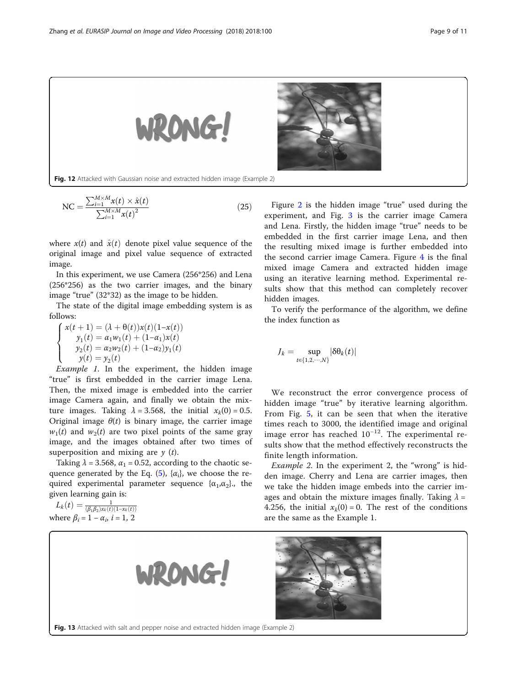<span id="page-8-0"></span>

$$
NC = \frac{\sum_{i=1}^{M \times M} x(t) \times \hat{x}(t)}{\sum_{i=1}^{M \times M} x(t)^2}
$$
(25)

where  $x(t)$  and  $\hat{x}(t)$  denote pixel value sequence of the original image and pixel value sequence of extracted image.

In this experiment, we use Camera (256\*256) and Lena (256\*256) as the two carrier images, and the binary image "true" (32\*32) as the image to be hidden.

The state of the digital image embedding system is as follows:

$$
\begin{cases}\nx(t+1) = (\lambda + \theta(t))x(t)(1-x(t)) \\
y_1(t) = \alpha_1 w_1(t) + (1-\alpha_1)x(t) \\
y_2(t) = \alpha_2 w_2(t) + (1-\alpha_2)y_1(t) \\
y(t) = y_2(t)\n\end{cases}
$$

 $y(t) = y_2(t)$ <br>Example 1. In the experiment, the hidden image "true" is first embedded in the carrier image Lena. Then, the mixed image is embedded into the carrier image Camera again, and finally we obtain the mixture images. Taking  $\lambda = 3.568$ , the initial  $x_k(0) = 0.5$ . Original image  $\theta(t)$  is binary image, the carrier image  $w_1(t)$  and  $w_2(t)$  are two pixel points of the same gray image, and the images obtained after two times of superposition and mixing are  $y(t)$ .

Taking  $\lambda$  = 3.568,  $\alpha_1$  = 0.52, according to the chaotic se-quence generated by the Eq. [\(5](#page-4-0)),  $\{\alpha_i\}$ , we choose the required experimental parameter sequence  $\{\alpha_1,\alpha_2\}$ , the given learning gain is:

$$
L_k(t) = \frac{1}{(\beta_1 \beta_2) x_k(t)(1 - x_k(t))}
$$
  
where  $\beta_i = 1 - \alpha_i$ ,  $i = 1, 2$ 

Figure [2](#page-2-0) is the hidden image "true" used during the experiment, and Fig. [3](#page-2-0) is the carrier image Camera and Lena. Firstly, the hidden image "true" needs to be embedded in the first carrier image Lena, and then the resulting mixed image is further embedded into the second carrier image Camera. Figure [4](#page-3-0) is the final mixed image Camera and extracted hidden image using an iterative learning method. Experimental results show that this method can completely recover hidden images.

To verify the performance of the algorithm, we define the index function as

$$
J_k = \sup_{t \in \{1, 2, \cdots, N\}} |\delta \theta_k(t)|
$$

We reconstruct the error convergence process of hidden image "true" by iterative learning algorithm. From Fig. [5](#page-3-0), it can be seen that when the iterative times reach to 3000, the identified image and original image error has reached 10<sup>−</sup>12. The experimental results show that the method effectively reconstructs the finite length information.

Example 2. In the experiment 2, the "wrong" is hidden image. Cherry and Lena are carrier images, then we take the hidden image embeds into the carrier images and obtain the mixture images finally. Taking  $\lambda =$ 4.256, the initial  $x_k(0) = 0$ . The rest of the conditions are the same as the Example 1.

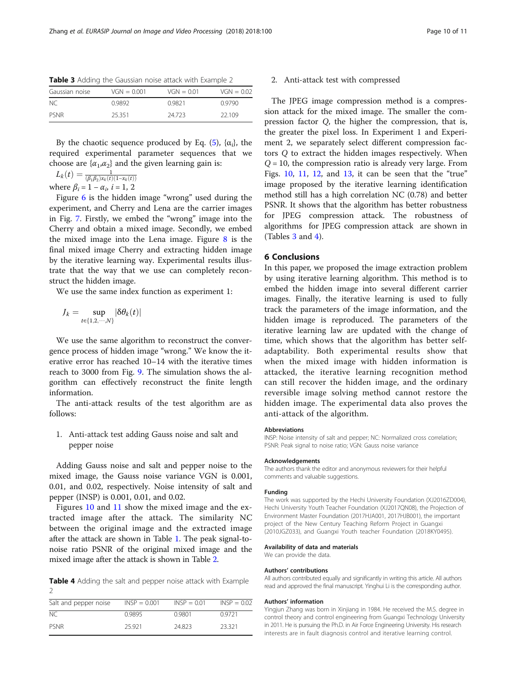| Table 3 Adding the Gaussian noise attack with Example 2 |  |  |  |  |
|---------------------------------------------------------|--|--|--|--|
|---------------------------------------------------------|--|--|--|--|

| Gaussian noise | $VGN = 0.001$ | $VGN = 0.01$ | $VGN = 0.02$ |
|----------------|---------------|--------------|--------------|
| NC.            | 0.9892        | 0.9821       | 0.9790       |
| PSNR           | 25.351        | 24 723       | 22109        |

By the chaotic sequence produced by Eq. [\(5](#page-4-0)),  $\{\alpha_i\}$ , the required experimental parameter sequences that we choose are  $\{\alpha_1,\alpha_2\}$  and the given learning gain is:

 $L_k(t) = \frac{1}{(\beta_1 \beta_2) x_k(t) (1 - x_k(t))}$ 

where  $\beta_i = 1 - \alpha_i$ ,  $i = 1, 2$ 

Figure [6](#page-4-0) is the hidden image "wrong" used during the experiment, and Cherry and Lena are the carrier images in Fig. [7.](#page-4-0) Firstly, we embed the "wrong" image into the Cherry and obtain a mixed image. Secondly, we embed the mixed image into the Lena image. Figure  $8$  is the final mixed image Cherry and extracting hidden image by the iterative learning way. Experimental results illustrate that the way that we use can completely reconstruct the hidden image.

We use the same index function as experiment 1:

$$
J_k = \sup_{t \in \{1, 2, \cdots, N\}} |\delta \theta_k(t)|
$$

We use the same algorithm to reconstruct the convergence process of hidden image "wrong." We know the iterative error has reached 10–14 with the iterative times reach to 3000 from Fig. [9.](#page-5-0) The simulation shows the algorithm can effectively reconstruct the finite length information.

The anti-attack results of the test algorithm are as follows:

1. Anti-attack test adding Gauss noise and salt and pepper noise

Adding Gauss noise and salt and pepper noise to the mixed image, the Gauss noise variance VGN is 0.001, 0.01, and 0.02, respectively. Noise intensity of salt and pepper (INSP) is 0.001, 0.01, and 0.02.

Figures [10](#page-6-0) and [11](#page-6-0) show the mixed image and the extracted image after the attack. The similarity NC between the original image and the extracted image after the attack are shown in Table [1](#page-7-0). The peak signal-tonoise ratio PSNR of the original mixed image and the mixed image after the attack is shown in Table [2](#page-7-0).

Table 4 Adding the salt and pepper noise attack with Example  $\overline{2}$ 

| Salt and pepper noise | $INSP = 0.001$ | $INSP = 0.01$ | $INSP = 0.02$ |
|-----------------------|----------------|---------------|---------------|
| NC.                   | 09895          | 0.9801        | 0.9721        |
| PSNR                  | 25 9 21        | 24823         | 23321         |

# 2. Anti-attack test with compressed

The JPEG image compression method is a compression attack for the mixed image. The smaller the compression factor Q, the higher the compression, that is, the greater the pixel loss. In Experiment 1 and Experiment 2, we separately select different compression factors Q to extract the hidden images respectively. When  $Q = 10$ , the compression ratio is already very large. From Figs.  $10$ ,  $11$ ,  $12$ , and  $13$ , it can be seen that the "true" image proposed by the iterative learning identification method still has a high correlation NC (0.78) and better PSNR. It shows that the algorithm has better robustness for JPEG compression attack. The robustness of algorithms for JPEG compression attack are shown in (Tables 3 and 4).

### 6 Conclusions

In this paper, we proposed the image extraction problem by using iterative learning algorithm. This method is to embed the hidden image into several different carrier images. Finally, the iterative learning is used to fully track the parameters of the image information, and the hidden image is reproduced. The parameters of the iterative learning law are updated with the change of time, which shows that the algorithm has better selfadaptability. Both experimental results show that when the mixed image with hidden information is attacked, the iterative learning recognition method can still recover the hidden image, and the ordinary reversible image solving method cannot restore the hidden image. The experimental data also proves the anti-attack of the algorithm.

#### **Abbreviations**

INSP: Noise intensity of salt and pepper; NC: Normalized cross correlation; PSNR: Peak signal to noise ratio; VGN: Gauss noise variance

#### Acknowledgements

The authors thank the editor and anonymous reviewers for their helpful comments and valuable suggestions.

#### Funding

The work was supported by the Hechi University Foundation (XJ2016ZD004), Hechi University Youth Teacher Foundation (XJ2017QN08), the Projection of Environment Master Foundation (2017HJA001, 2017HJB001), the important project of the New Century Teaching Reform Project in Guangxi (2010JGZ033), and Guangxi Youth teacher Foundation (2018KY0495).

#### Availability of data and materials

We can provide the data.

#### Authors' contributions

All authors contributed equally and significantly in writing this article. All authors read and approved the final manuscript. Yinghui Li is the corresponding author.

#### Authors' information

Yingjun Zhang was born in Xinjiang in 1984. He received the M.S. degree in control theory and control engineering from Guangxi Technology University in 2011. He is pursuing the Ph.D. in Air Force Engineering University. His research interests are in fault diagnosis control and iterative learning control.